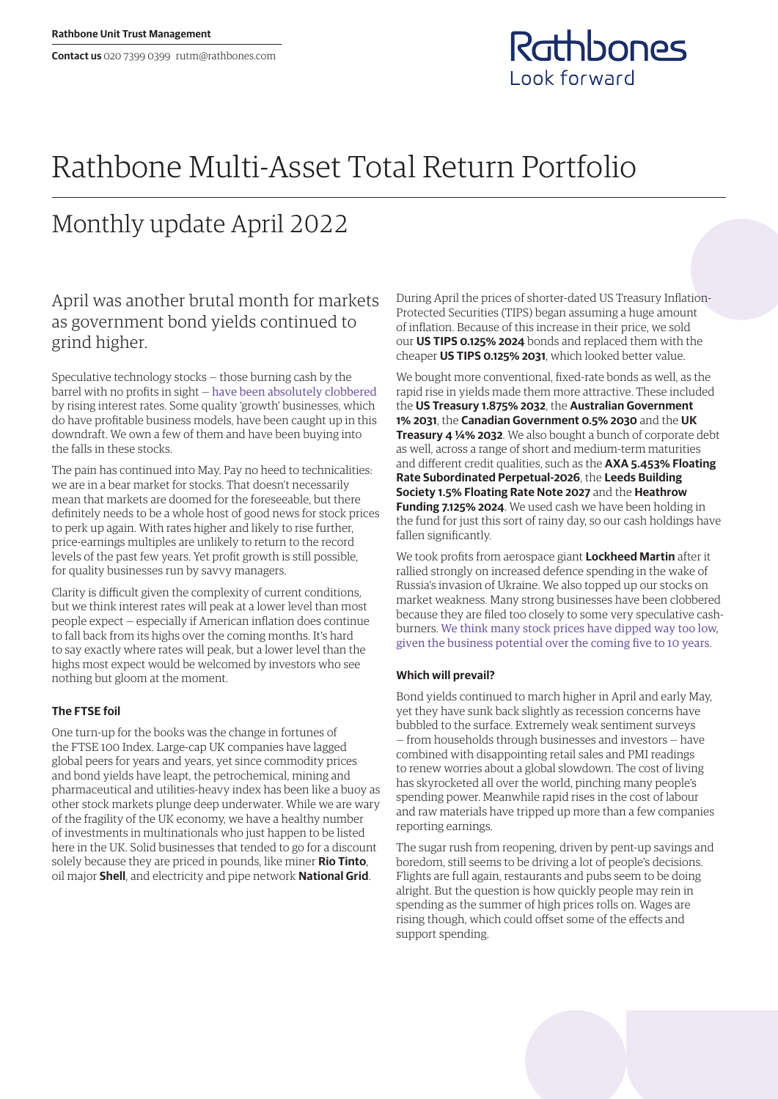

# Rathbone Multi-Asset Total Return Portfolio

## Monthly update April 2022

## April was another brutal month for markets as government bond yields continued to grind higher.

Speculative technology stocks — those burning cash by the barrel with no profits in sight — [have been absolutely clobbered](https://www.rathbones.com/blog/zombie-financing) by rising interest rates. Some quality 'growth' businesses, which do have profitable business models, have been caught up in this downdraft. We own a few of them and have been buying into the falls in these stocks.

The pain has continued into May. Pay no heed to technicalities: we are in a bear market for stocks. That doesn't necessarily mean that markets are doomed for the foreseeable, but there definitely needs to be a whole host of good news for stock prices to perk up again. With rates higher and likely to rise further, price-earnings multiples are unlikely to return to the record levels of the past few years. Yet profit growth is still possible, for quality businesses run by savvy managers.

Clarity is difficult given the complexity of current conditions, but we think interest rates will peak at a lower level than most people expect — especially if American inflation does continue to fall back from its highs over the coming months. It's hard to say exactly where rates will peak, but a lower level than the highs most expect would be welcomed by investors who see nothing but gloom at the moment.

### **The FTSE foil**

One turn-up for the books was the change in fortunes of the FTSE 100 Index. Large-cap UK companies have lagged global peers for years and years, yet since commodity prices and bond yields have leapt, the petrochemical, mining and pharmaceutical and utilities-heavy index has been like a buoy as other stock markets plunge deep underwater. While we are wary of the fragility of the UK economy, we have a healthy number of investments in multinationals who just happen to be listed here in the UK. Solid businesses that tended to go for a discount solely because they are priced in pounds, like miner **Rio Tinto**, oil major **Shell**, and electricity and pipe network **National Grid**.

During April the prices of shorter-dated US Treasury Inflation-Protected Securities (TIPS) began assuming a huge amount of inflation. Because of this increase in their price, we sold our **US TIPS 0.125% 2024** bonds and replaced them with the cheaper **US TIPS 0.125% 2031**, which looked better value.

We bought more conventional, fixed-rate bonds as well, as the rapid rise in yields made them more attractive. These included the **US Treasury 1.875% 2032**, the **Australian Government 1% 2031**, the **Canadian Government 0.5% 2030** and the **UK Treasury 4 ¼% 2032**. We also bought a bunch of corporate debt as well, across a range of short and medium-term maturities and different credit qualities, such as the **AXA 5.453% Floating Rate Subordinated Perpetual-2026**, the **Leeds Building Society 1.5% Floating Rate Note 2027** and the **Heathrow Funding 7.125% 2024**. We used cash we have been holding in the fund for just this sort of rainy day, so our cash holdings have fallen significantly.

We took profits from aerospace giant **Lockheed Martin** after it rallied strongly on increased defence spending in the wake of Russia's invasion of Ukraine. We also topped up our stocks on market weakness. Many strong businesses have been clobbered because they are filed too closely to some very speculative cashburners. [We think many stock prices have dipped way too low,](https://linktr.ee/thesharpeend)  [given the business potential over the coming five to 10 years](https://linktr.ee/thesharpeend).

#### **Which will prevail?**

Bond yields continued to march higher in April and early May, yet they have sunk back slightly as recession concerns have bubbled to the surface. Extremely weak sentiment surveys — from households through businesses and investors — have combined with disappointing retail sales and PMI readings to renew worries about a global slowdown. The cost of living has skyrocketed all over the world, pinching many people's spending power. Meanwhile rapid rises in the cost of labour and raw materials have tripped up more than a few companies reporting earnings.

The sugar rush from reopening, driven by pent-up savings and boredom, still seems to be driving a lot of people's decisions. Flights are full again, restaurants and pubs seem to be doing alright. But the question is how quickly people may rein in spending as the summer of high prices rolls on. Wages are rising though, which could offset some of the effects and support spending.